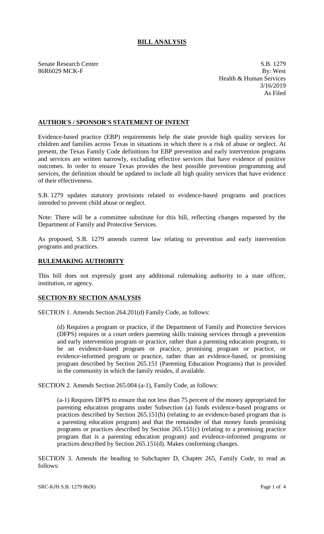# **BILL ANALYSIS**

Senate Research Center S.B. 1279 86R6029 MCK-F By: West Health & Human Services 3/16/2019 As Filed

## **AUTHOR'S / SPONSOR'S STATEMENT OF INTENT**

Evidence-based practice (EBP) requirements help the state provide high quality services for children and families across Texas in situations in which there is a risk of abuse or neglect. At present, the Texas Family Code definitions for EBP prevention and early intervention programs and services are written narrowly, excluding effective services that have evidence of positive outcomes. In order to ensure Texas provides the best possible prevention programming and services, the definition should be updated to include all high quality services that have evidence of their effectiveness.

S.B. 1279 updates statutory provisions related to evidence-based programs and practices intended to prevent child abuse or neglect.

Note: There will be a committee substitute for this bill, reflecting changes requested by the Department of Family and Protective Services.

As proposed, S.B. 1279 amends current law relating to prevention and early intervention programs and practices.

## **RULEMAKING AUTHORITY**

This bill does not expressly grant any additional rulemaking authority to a state officer, institution, or agency.

## **SECTION BY SECTION ANALYSIS**

SECTION 1. Amends Section 264.201(d) Family Code, as follows:

(d) Requires a program or practice, if the Department of Family and Protective Services (DFPS) requires or a court orders parenting skills training services through a prevention and early intervention program or practice, rather than a parenting education program, to be an evidence-based program or practice, promising program or practice, or evidence-informed program or practice, rather than an evidence-based, or promising program described by Section 265.151 (Parenting Education Programs) that is provided in the community in which the family resides, if available.

SECTION 2. Amends Section 265.004 (a-1), Family Code, as follows:

(a-1) Requires DFPS to ensure that not less than 75 percent of the money appropriated for parenting education programs under Subsection (a) funds evidence-based programs or practices described by Section 265.151(b) (relating to an evidence-based program that is a parenting education program) and that the remainder of that money funds promising programs or practices described by Section 265.151(c) (relating to a promising practice program that is a parenting education program) and evidence-informed programs or practices described by Section 265.151(d). Makes conforming changes.

SECTION 3. Amends the heading to Subchapter D, Chapter 265, Family Code, to read as follows: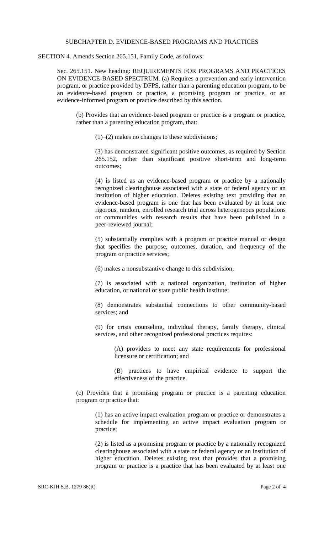#### SUBCHAPTER D. EVIDENCE-BASED PROGRAMS AND PRACTICES

SECTION 4. Amends Section 265.151, Family Code, as follows:

Sec. 265.151. New heading: REQUIREMENTS FOR PROGRAMS AND PRACTICES ON EVIDENCE-BASED SPECTRUM. (a) Requires a prevention and early intervention program, or practice provided by DFPS, rather than a parenting education program, to be an evidence-based program or practice, a promising program or practice, or an evidence-informed program or practice described by this section.

(b) Provides that an evidence-based program or practice is a program or practice, rather than a parenting education program, that:

(1)–(2) makes no changes to these subdivisions;

(3) has demonstrated significant positive outcomes, as required by Section 265.152, rather than significant positive short-term and long-term outcomes;

(4) is listed as an evidence-based program or practice by a nationally recognized clearinghouse associated with a state or federal agency or an institution of higher education. Deletes existing text providing that an evidence-based program is one that has been evaluated by at least one rigorous, random, enrolled research trial across heterogeneous populations or communities with research results that have been published in a peer-reviewed journal;

(5) substantially complies with a program or practice manual or design that specifies the purpose, outcomes, duration, and frequency of the program or practice services;

(6) makes a nonsubstantive change to this subdivision;

(7) is associated with a national organization, institution of higher education, or national or state public health institute;

(8) demonstrates substantial connections to other community-based services; and

(9) for crisis counseling, individual therapy, family therapy, clinical services, and other recognized professional practices requires:

(A) providers to meet any state requirements for professional licensure or certification; and

(B) practices to have empirical evidence to support the effectiveness of the practice.

(c) Provides that a promising program or practice is a parenting education program or practice that:

(1) has an active impact evaluation program or practice or demonstrates a schedule for implementing an active impact evaluation program or practice;

(2) is listed as a promising program or practice by a nationally recognized clearinghouse associated with a state or federal agency or an institution of higher education. Deletes existing text that provides that a promising program or practice is a practice that has been evaluated by at least one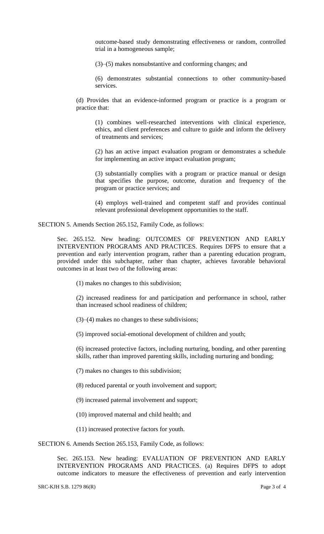outcome-based study demonstrating effectiveness or random, controlled trial in a homogeneous sample;

(3)–(5) makes nonsubstantive and conforming changes; and

(6) demonstrates substantial connections to other community-based services.

(d) Provides that an evidence-informed program or practice is a program or practice that:

(1) combines well-researched interventions with clinical experience, ethics, and client preferences and culture to guide and inform the delivery of treatments and services;

(2) has an active impact evaluation program or demonstrates a schedule for implementing an active impact evaluation program;

(3) substantially complies with a program or practice manual or design that specifies the purpose, outcome, duration and frequency of the program or practice services; and

(4) employs well-trained and competent staff and provides continual relevant professional development opportunities to the staff.

SECTION 5. Amends Section 265.152, Family Code, as follows:

Sec. 265.152. New heading: OUTCOMES OF PREVENTION AND EARLY INTERVENTION PROGRAMS AND PRACTICES. Requires DFPS to ensure that a prevention and early intervention program, rather than a parenting education program, provided under this subchapter, rather than chapter, achieves favorable behavioral outcomes in at least two of the following areas:

(1) makes no changes to this subdivision;

(2) increased readiness for and participation and performance in school, rather than increased school readiness of children;

(3)–(4) makes no changes to these subdivisions;

(5) improved social-emotional development of children and youth;

(6) increased protective factors, including nurturing, bonding, and other parenting skills, rather than improved parenting skills, including nurturing and bonding;

(7) makes no changes to this subdivision;

(8) reduced parental or youth involvement and support;

(9) increased paternal involvement and support;

(10) improved maternal and child health; and

(11) increased protective factors for youth.

SECTION 6. Amends Section 265.153, Family Code, as follows:

Sec. 265.153. New heading: EVALUATION OF PREVENTION AND EARLY INTERVENTION PROGRAMS AND PRACTICES. (a) Requires DFPS to adopt outcome indicators to measure the effectiveness of prevention and early intervention